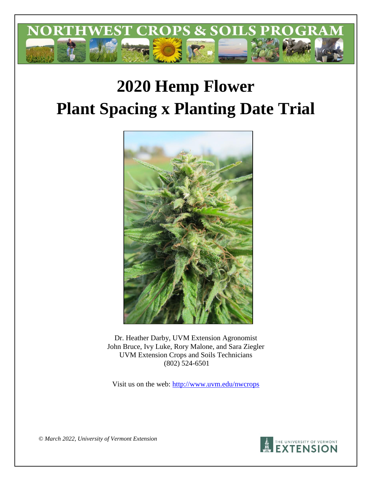

# **2020 Hemp Flower Plant Spacing x Planting Date Trial**



Dr. Heather Darby, UVM Extension Agronomist John Bruce, Ivy Luke, Rory Malone, and Sara Ziegler UVM Extension Crops and Soils Technicians (802) 524-6501

Visit us on the web:<http://www.uvm.edu/nwcrops>



*© March 2022, University of Vermont Extension*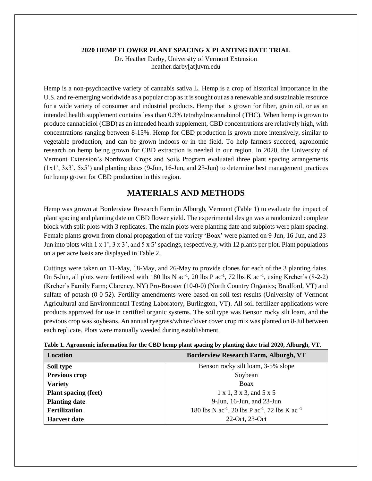#### **2020 HEMP FLOWER PLANT SPACING X PLANTING DATE TRIAL**

Dr. Heather Darby, University of Vermont Extension heather.darby[at]uvm.edu

Hemp is a non-psychoactive variety of cannabis sativa L. Hemp is a crop of historical importance in the U.S. and re-emerging worldwide as a popular crop as it is sought out as a renewable and sustainable resource for a wide variety of consumer and industrial products. Hemp that is grown for fiber, grain oil, or as an intended health supplement contains less than 0.3% tetrahydrocannabinol (THC). When hemp is grown to produce cannabidiol (CBD) as an intended health supplement, CBD concentrations are relatively high, with concentrations ranging between 8-15%. Hemp for CBD production is grown more intensively, similar to vegetable production, and can be grown indoors or in the field. To help farmers succeed, agronomic research on hemp being grown for CBD extraction is needed in our region. In 2020, the University of Vermont Extension's Northwest Crops and Soils Program evaluated three plant spacing arrangements (1x1', 3x3', 5x5') and planting dates (9-Jun, 16-Jun, and 23-Jun) to determine best management practices for hemp grown for CBD production in this region.

# **MATERIALS AND METHODS**

Hemp was grown at Borderview Research Farm in Alburgh, Vermont (Table 1) to evaluate the impact of plant spacing and planting date on CBD flower yield. The experimental design was a randomized complete block with split plots with 3 replicates. The main plots were planting date and subplots were plant spacing. Female plants grown from clonal propagation of the variety 'Boax' were planted on 9-Jun, 16-Jun, and 23- Jun into plots with  $1 \times 1$ ',  $3 \times 3$ ', and  $5 \times 5$ ' spacings, respectively, with 12 plants per plot. Plant populations on a per acre basis are displayed in Table 2.

Cuttings were taken on 11-May, 18-May, and 26-May to provide clones for each of the 3 planting dates. On 5-Jun, all plots were fertilized with 180 lbs N  $ac^{-1}$ , 20 lbs P  $ac^{-1}$ , 72 lbs K  $ac^{-1}$ , using Kreher's (8-2-2) (Kreher's Family Farm; Clarency, NY) Pro-Booster (10-0-0) (North Country Organics; Bradford, VT) and sulfate of potash (0-0-52). Fertility amendments were based on soil test results (University of Vermont Agricultural and Environmental Testing Laboratory, Burlington, VT). All soil fertilizer applications were products approved for use in certified organic systems. The soil type was Benson rocky silt loam, and the previous crop was soybeans. An annual ryegrass/white clover cover crop mix was planted on 8-Jul between each replicate. Plots were manually weeded during establishment.

| <b>Borderview Research Farm, Alburgh, VT</b>                                       |
|------------------------------------------------------------------------------------|
| Benson rocky silt loam, 3-5% slope                                                 |
| Soybean                                                                            |
| Boax                                                                               |
| $1 \times 1$ , $3 \times 3$ , and $5 \times 5$                                     |
| $9$ -Jun, 16-Jun, and 23-Jun                                                       |
| 180 lbs N ac <sup>-1</sup> , 20 lbs P ac <sup>-1</sup> , 72 lbs K ac <sup>-1</sup> |
| 22-Oct, 23-Oct                                                                     |
|                                                                                    |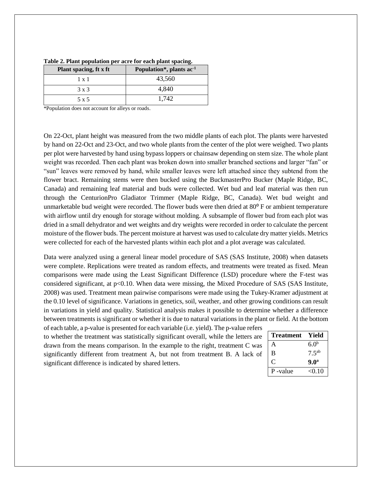| Plant spacing, ft x ft | Population <sup>*</sup> , plants ac <sup>1</sup> |
|------------------------|--------------------------------------------------|
| $1 \times 1$           | 43,560                                           |
| 3 x 3                  | 4.840                                            |
| 5 x 5                  | 1.742                                            |

| Table 2. Plant population per acre for each plant spacing. |  |  |
|------------------------------------------------------------|--|--|
|                                                            |  |  |

\*Population does not account for alleys or roads.

On 22-Oct, plant height was measured from the two middle plants of each plot. The plants were harvested by hand on 22-Oct and 23-Oct, and two whole plants from the center of the plot were weighed. Two plants per plot were harvested by hand using bypass loppers or chainsaw depending on stem size. The whole plant weight was recorded. Then each plant was broken down into smaller branched sections and larger "fan" or "sun" leaves were removed by hand, while smaller leaves were left attached since they subtend from the flower bract. Remaining stems were then bucked using the BuckmasterPro Bucker (Maple Ridge, BC, Canada) and remaining leaf material and buds were collected. Wet bud and leaf material was then run through the CenturionPro Gladiator Trimmer (Maple Ridge, BC, Canada). Wet bud weight and unmarketable bud weight were recorded. The flower buds were then dried at  $80^{\circ}$  F or ambient temperature with airflow until dry enough for storage without molding. A subsample of flower bud from each plot was dried in a small dehydrator and wet weights and dry weights were recorded in order to calculate the percent moisture of the flower buds. The percent moisture at harvest was used to calculate dry matter yields. Metrics were collected for each of the harvested plants within each plot and a plot average was calculated.

Data were analyzed using a general linear model procedure of SAS (SAS Institute, 2008) when datasets were complete. Replications were treated as random effects, and treatments were treated as fixed. Mean comparisons were made using the Least Significant Difference (LSD) procedure where the F-test was considered significant, at  $p<0.10$ . When data were missing, the Mixed Procedure of SAS (SAS Institute, 2008) was used. Treatment mean pairwise comparisons were made using the Tukey-Kramer adjustment at the 0.10 level of significance. Variations in genetics, soil, weather, and other growing conditions can result in variations in yield and quality. Statistical analysis makes it possible to determine whether a difference between treatments is significant or whether it is due to natural variations in the plant or field. At the bottom of each table, a p-value is presented for each variable (i.e. yield). The p-value refers

to whether the treatment was statistically significant overall, while the letters are drawn from the means comparison. In the example to the right, treatment C was significantly different from treatment A, but not from treatment B. A lack of significant difference is indicated by shared letters.

| <b>Treatment</b> | Yield            |
|------------------|------------------|
| А                | 6.0 <sup>b</sup> |
| B                | $7.5^{ab}$       |
| $\mathbf C$      | 9.0 <sup>a</sup> |
| P-value          | <0.10            |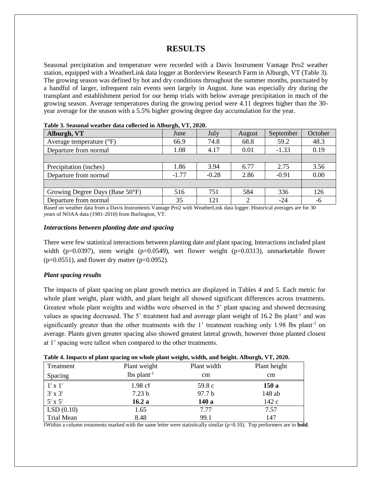# **RESULTS**

Seasonal precipitation and temperature were recorded with a Davis Instrument Vantage Pro2 weather station, equipped with a WeatherLink data logger at Borderview Research Farm in Alburgh, VT (Table 3). The growing season was defined by hot and dry conditions throughout the summer months, punctuated by a handful of larger, infrequent rain events seen largely in August. June was especially dry during the transplant and establishment period for our hemp trials with below average precipitation in much of the growing season. Average temperatures during the growing period were 4.11 degrees higher than the 30 year average for the season with a 5.5% higher growing degree day accumulation for the year.

| Tubic of Deubonul weather uata concettu in fribut 2114 + 14 4040; |         |         |        |           |         |  |  |  |
|-------------------------------------------------------------------|---------|---------|--------|-----------|---------|--|--|--|
| Alburgh, VT                                                       | June    | July    | August | September | October |  |  |  |
| Average temperature $(^{\circ}F)$                                 | 66.9    | 74.8    | 68.8   | 59.2      | 48.3    |  |  |  |
| Departure from normal                                             | 1.08    | 4.17    | 0.01   | $-1.33$   | 0.19    |  |  |  |
|                                                                   |         |         |        |           |         |  |  |  |
| Precipitation (inches)                                            | 1.86    | 3.94    | 6.77   | 2.75      | 3.56    |  |  |  |
| Departure from normal                                             | $-1.77$ | $-0.28$ | 2.86   | $-0.91$   | 0.00    |  |  |  |
|                                                                   |         |         |        |           |         |  |  |  |
| Growing Degree Days (Base 50°F)                                   | 516     | 751     | 584    | 336       | 126     |  |  |  |
| Departure from normal                                             | 35      | 121     | ↑      | $-24$     | -6      |  |  |  |

| Table 3. Seasonal weather data collected in Alburgh, VT, 2020. |  |  |  |  |  |  |
|----------------------------------------------------------------|--|--|--|--|--|--|
|----------------------------------------------------------------|--|--|--|--|--|--|

Based on weather data from a Davis Instruments Vantage Pro2 with WeatherLink data logger. Historical averages are for 30 years of NOAA data (1981-2010) from Burlington, VT.

#### *Interactions between planting date and spacing*

There were few statistical interactions between planting date and plant spacing. Interactions included plant width (p=0.0397), stem weight (p=0.0549), wet flower weight (p=0.0313), unmarketable flower  $(p=0.0551)$ , and flower dry matter  $(p=0.0952)$ .

#### *Plant spacing results*

The impacts of plant spacing on plant growth metrics are displayed in Tables 4 and 5. Each metric for whole plant weight, plant width, and plant height all showed significant differences across treatments. Greatest whole plant weights and widths were observed in the 5' plant spacing and showed decreasing values as spacing decreased. The 5' treatment had and average plant weight of 16.2 lbs plant<sup>-1</sup> and was significantly greater than the other treatments with the 1' treatment reaching only 1.98 lbs plant<sup>-1</sup> on average. Plants given greater spacing also showed greatest lateral growth, however those planted closest at 1' spacing were tallest when compared to the other treatments.

|  | Table 4. Impacts of plant spacing on whole plant weight, width, and height. Alburgh, VT, 2020. |  |  |  |  |  |  |
|--|------------------------------------------------------------------------------------------------|--|--|--|--|--|--|
|--|------------------------------------------------------------------------------------------------|--|--|--|--|--|--|

| Treatment      | Plant weight              | Plant width       | Plant height |
|----------------|---------------------------|-------------------|--------------|
| Spacing        | $lbs$ plant <sup>-1</sup> | cm                | cm           |
| $1' \times 1'$ | 1.98 cf                   | 59.8 c            | 150a         |
| $3' \times 3'$ | 7.23 <sub>b</sub>         | 97.7 <sub>b</sub> | 148 ab       |
| $5' \times 5'$ | 16.2a                     | 140 a             | 142c         |
| LSD(0.10)      | 1.65                      | 7.77              | 7.57         |
| Trial Mean     | 8.48                      | 99.1              | 147          |

ϯWithin a column treatments marked with the same letter were statistically similar (p=0.10). Top performers are in **bold**.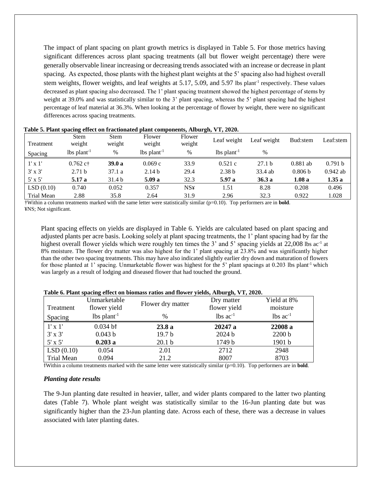The impact of plant spacing on plant growth metrics is displayed in Table 5. For those metrics having significant differences across plant spacing treatments (all but flower weight percentage) there were generally observable linear increasing or decreasing trends associated with an increase or decrease in plant spacing. As expected, those plants with the highest plant weights at the 5' spacing also had highest overall stem weights, flower weights, and leaf weights at 5.17, 5.09, and 5.97 lbs plant<sup>-1</sup> respectively. These values decreased as plant spacing also decreased. The 1' plant spacing treatment showed the highest percentage of stems by weight at 39.0% and was statistically similar to the 3' plant spacing, whereas the 5' plant spacing had the highest percentage of leaf material at 36.3%. When looking at the percentage of flower by weight, there were no significant differences across spacing treatments.

| Treatment      | <b>Stem</b><br>weight     | <b>Stem</b><br>weight | Flower<br>weight          | Flower<br>weight | Leaf weight               | Leaf weight       | Bud:stem           | Leaf:stem  |
|----------------|---------------------------|-----------------------|---------------------------|------------------|---------------------------|-------------------|--------------------|------------|
| Spacing        | $lbs$ plant <sup>-1</sup> | %                     | $lbs$ plant <sup>-1</sup> | $\%$             | $lbs$ plant <sup>-1</sup> | $\%$              |                    |            |
| $1' \times 1'$ | $0.762$ c†                | 39.0a                 | 0.069c                    | 33.9             | 0.521c                    | 27.1 <sub>b</sub> | $0.881$ ab         | 0.791 b    |
| $3'$ x $3'$    | 2.71 <sub>b</sub>         | 37.1a                 | 2.14 <sub>b</sub>         | 29.4             | 2.38 <sub>b</sub>         | 33.4 ab           | 0.806 <sub>b</sub> | $0.942$ ab |
| $5' \times 5'$ | 5.17 a                    | 31.4 b                | 5.09a                     | 32.3             | 5.97 a                    | 36.3a             | 1.08a              | 1.35a      |
| LSD(0.10)      | 0.740                     | 0.052                 | 0.357                     | <b>NS¥</b>       | 1.51                      | 8.28              | 0.208              | 0.496      |
| Trial Mean     | 2.88                      | 35.8                  | 2.64                      | 31.9             | 2.96                      | 32.3              | 0.922              | 1.028      |

| Table 5. Plant spacing effect on fractionated plant components, Alburgh, VT, 2020. |  |  |
|------------------------------------------------------------------------------------|--|--|
|                                                                                    |  |  |

†Within a column treatments marked with the same letter were statistically similar (p=0.10). Top performers are in **bold**. ¥NS; Not significant.

Plant spacing effects on yields are displayed in Table 6. Yields are calculated based on plant spacing and adjusted plants per acre basis. Looking solely at plant spacing treatments, the 1' plant spacing had by far the highest overall flower yields which were roughly ten times the 3' and 5' spacing yields at 22,008 lbs ac<sup>-1</sup> at 8% moisture. The flower dry matter was also highest for the 1' plant spacing at 23.8% and was significantly higher than the other two spacing treatments. This may have also indicated slightly earlier dry down and maturation of flowers for those planted at 1' spacing. Unmarketable flower was highest for the 5' plant spacings at 0.203 lbs plant<sup>-1</sup> which was largely as a result of lodging and diseased flower that had touched the ground.

|                   | Unmarketable                              |                   | Dry matter             | Yield at 8%            |
|-------------------|-------------------------------------------|-------------------|------------------------|------------------------|
| Treatment         | flower yield                              | Flower dry matter | flower yield           | moisture               |
| Spacing           | $lbs$ plant <sup>-1</sup>                 | $\%$              | $lbs$ ac <sup>-1</sup> | $lbs$ ac <sup>-1</sup> |
| $1' \times 1'$    | $0.034$ b <sup><math>\dagger</math></sup> | 23.8a             | 20247 a                | 22008 a                |
| $3' \times 3'$    | 0.043 b                                   | 19.7 <sub>b</sub> | 2024 b                 | 2200 b                 |
| $5' \times 5'$    | 0.203a                                    | 20.1 <sub>b</sub> | 1749 b                 | 1901 b                 |
| LSD(0.10)         | 0.054                                     | 2.01              | 2712                   | 2948                   |
| <b>Trial Mean</b> | 0.094                                     | 21.2              | 8007                   | 8703                   |

**Table 6. Plant spacing effect on biomass ratios and flower yields, Alburgh, VT, 2020.** 

ϯWithin a column treatments marked with the same letter were statistically similar (p=0.10). Top performers are in **bold**.

#### *Planting date results*

The 9-Jun planting date resulted in heavier, taller, and wider plants compared to the latter two planting dates (Table 7). Whole plant weight was statistically similar to the 16-Jun planting date but was significantly higher than the 23-Jun planting date. Across each of these, there was a decrease in values associated with later planting dates.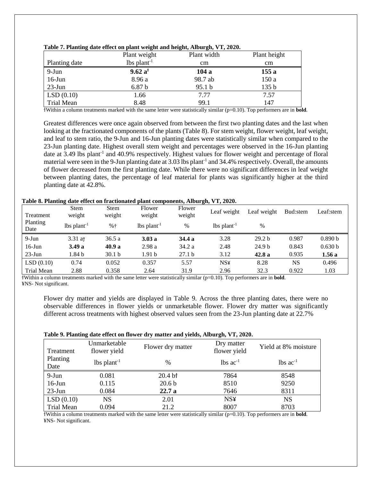|                    | Plant weight              | Plant width | Plant height |
|--------------------|---------------------------|-------------|--------------|
| Planting date      | $lbs$ plant <sup>-1</sup> | cm          | cm           |
| 9-Jun              | 9.62 a <sup>†</sup>       | 104 a       | 155a         |
| $16$ -Jun          | 8.96 a                    | 98.7 ab     | 150a         |
| $23$ -Jun          | 6.87 <sub>b</sub>         | 95.1 b      | 135 b        |
| $\vert$ LSD (0.10) | 1.66                      | 7.77        | 7.57         |
| Trial Mean         | 8.48                      | 99.1        | 147          |

|  |  | Table 7. Planting date effect on plant weight and height, Alburgh, VT, 2020. |  |  |
|--|--|------------------------------------------------------------------------------|--|--|
|  |  |                                                                              |  |  |

ϯWithin a column treatments marked with the same letter were statistically similar (p=0.10). Top performers are in **bold**.

Greatest differences were once again observed from between the first two planting dates and the last when looking at the fractionated components of the plants (Table 8). For stem weight, flower weight, leaf weight, and leaf to stem ratio, the 9-Jun and 16-Jun planting dates were statistically similar when compared to the 23-Jun planting date. Highest overall stem weight and percentages were observed in the 16-Jun planting date at 3.49 lbs plant<sup>-1</sup> and 40.9% respectively. Highest values for flower weight and percentage of floral material were seen in the 9-Jun planting date at 3.03 lbs plant<sup>-1</sup> and 34.4% respectively. Overall, the amounts of flower decreased from the first planting date. While there were no significant differences in leaf weight between planting dates, the percentage of leaf material for plants was significantly higher at the third planting date at 42.8%.

| Table 8. Planting date effect on fractionated plant components, Alburgh, VT, 2020. |  |  |
|------------------------------------------------------------------------------------|--|--|
|------------------------------------------------------------------------------------|--|--|

| Treatment        | $\overline{ }$<br><b>Stem</b><br>weight | <b>Stem</b><br>weight | Flower<br>weight          | Flower<br>weight  | $\rightarrow$<br>Leaf weight | Leaf weight       | Bud:stem  | Leaf:stem |
|------------------|-----------------------------------------|-----------------------|---------------------------|-------------------|------------------------------|-------------------|-----------|-----------|
| Planting<br>Date | $lbs$ plant <sup>-1</sup>               | $%+$                  | $lbs$ plant <sup>-1</sup> | %                 | $lbs$ plant <sup>-1</sup>    | $\%$              |           |           |
| $9-Jun$          | $3.31$ at                               | 36.5a                 | 3.03a                     | 34.4 a            | 3.28                         | 29.2 <sub>b</sub> | 0.987     | 0.890 b   |
| $16$ -Jun        | 3.49a                                   | 40.9a                 | 2.98a                     | 34.2 a            | 2.48                         | 24.9 <sub>b</sub> | 0.843     | 0.630 b   |
| $23$ -Jun        | 1.84 b                                  | 30.1 <sub>b</sub>     | 1.91 <sub>b</sub>         | 27.1 <sub>b</sub> | 3.12                         | 42.8a             | 0.935     | 1.56a     |
| LSD(0.10)        | 0.74                                    | 0.052                 | 0.357                     | 5.57              | <b>NS¥</b>                   | 8.28              | <b>NS</b> | 0.496     |
| Trial Mean       | 2.88                                    | 0.358                 | 2.64                      | 31.9              | 2.96                         | 32.3              | 0.922     | 1.03      |

ϯWithin a column treatments marked with the same letter were statistically similar (p=0.10). Top performers are in **bold**. ¥NS- Not significant.

Flower dry matter and yields are displayed in Table 9. Across the three planting dates, there were no observable differences in flower yields or unmarketable flower. Flower dry matter was significantly different across treatments with highest observed values seen from the 23-Jun planting date at 22.7%

|  |  |  | Table 9. Planting date effect on flower dry matter and yields, Alburgh, VT, 2020. |  |  |
|--|--|--|-----------------------------------------------------------------------------------|--|--|
|  |  |  |                                                                                   |  |  |

| Treatment        | Unmarketable<br>flower yield | Flower dry matter  | Dry matter<br>flower yield | Yield at 8% moisture   |
|------------------|------------------------------|--------------------|----------------------------|------------------------|
| Planting<br>Date | $lbs$ plant <sup>-1</sup>    | $\frac{0}{0}$      | $lbs$ ac <sup>-1</sup>     | $lbs$ ac <sup>-1</sup> |
| 9-Jun            | 0.081                        | 20.4 <sub>bt</sub> | 7864                       | 8548                   |
| $16$ -Jun        | 0.115                        | 20.6 <sub>b</sub>  | 8510                       | 9250                   |
| $23$ -Jun        | 0.084                        | 22.7a              | 7646                       | 8311                   |
| LSD(0.10)        | NS                           | 2.01               | <b>NS¥</b>                 | <b>NS</b>              |
| Trial Mean       | 0.094                        | 21.2               | 8007                       | 8703                   |

ϯWithin a column treatments marked with the same letter were statistically similar (p=0.10). Top performers are in **bold**. ¥NS- Not significant.